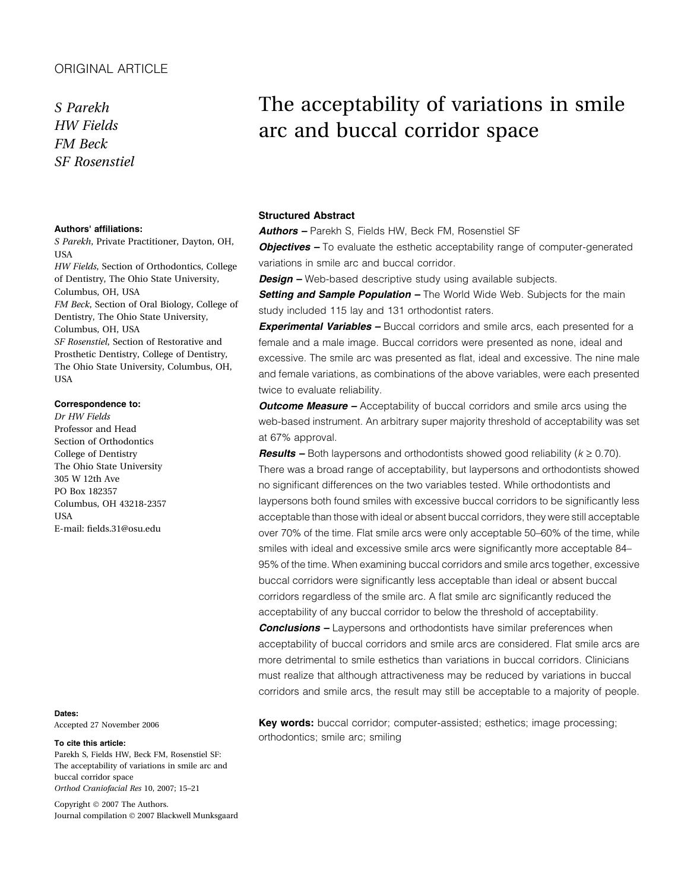### ORIGINAL ARTICLE

S Parekh HW Fields FM Beck SF Rosenstiel

#### Authors' affiliations:

S Parekh, Private Practitioner, Dayton, OH, **USA** HW Fields, Section of Orthodontics, College of Dentistry, The Ohio State University, Columbus, OH, USA FM Beck, Section of Oral Biology, College of Dentistry, The Ohio State University, Columbus, OH, USA SF Rosenstiel, Section of Restorative and Prosthetic Dentistry, College of Dentistry, The Ohio State University, Columbus, OH, **USA** 

#### Correspondence to:

Dr HW Fields Professor and Head Section of Orthodontics College of Dentistry The Ohio State University 305 W 12th Ave PO Box 182357 Columbus, OH 43218-2357 **USA** E-mail: fields.31@osu.edu

#### Dates:

Accepted 27 November 2006

To cite this article:

Parekh S, Fields HW, Beck FM, Rosenstiel SF: The acceptability of variations in smile arc and buccal corridor space Orthod Craniofacial Res 10, 2007; 15–21

Copyright © 2007 The Authors. Journal compilation © 2007 Blackwell Munksgaard

# The acceptability of variations in smile arc and buccal corridor space

#### Structured Abstract

Authors - Parekh S, Fields HW, Beck FM, Rosenstiel SF

**Objectives -** To evaluate the esthetic acceptability range of computer-generated variations in smile arc and buccal corridor.

**Design** – Web-based descriptive study using available subjects.

Setting and Sample Population - The World Wide Web. Subjects for the main study included 115 lay and 131 orthodontist raters.

**Experimental Variables -** Buccal corridors and smile arcs, each presented for a female and a male image. Buccal corridors were presented as none, ideal and excessive. The smile arc was presented as flat, ideal and excessive. The nine male and female variations, as combinations of the above variables, were each presented twice to evaluate reliability.

**Outcome Measure** – Acceptability of buccal corridors and smile arcs using the web-based instrument. An arbitrary super majority threshold of acceptability was set at 67% approval.

**Results** – Both laypersons and orthodontists showed good reliability ( $k \ge 0.70$ ). There was a broad range of acceptability, but laypersons and orthodontists showed no significant differences on the two variables tested. While orthodontists and laypersons both found smiles with excessive buccal corridors to be significantly less acceptable than those with ideal or absent buccal corridors, they were still acceptable over 70% of the time. Flat smile arcs were only acceptable 50–60% of the time, while smiles with ideal and excessive smile arcs were significantly more acceptable 84– 95% of the time. When examining buccal corridors and smile arcs together, excessive buccal corridors were significantly less acceptable than ideal or absent buccal corridors regardless of the smile arc. A flat smile arc significantly reduced the acceptability of any buccal corridor to below the threshold of acceptability.

**Conclusions –** Laypersons and orthodontists have similar preferences when acceptability of buccal corridors and smile arcs are considered. Flat smile arcs are more detrimental to smile esthetics than variations in buccal corridors. Clinicians must realize that although attractiveness may be reduced by variations in buccal corridors and smile arcs, the result may still be acceptable to a majority of people.

Key words: buccal corridor; computer-assisted; esthetics; image processing; orthodontics; smile arc; smiling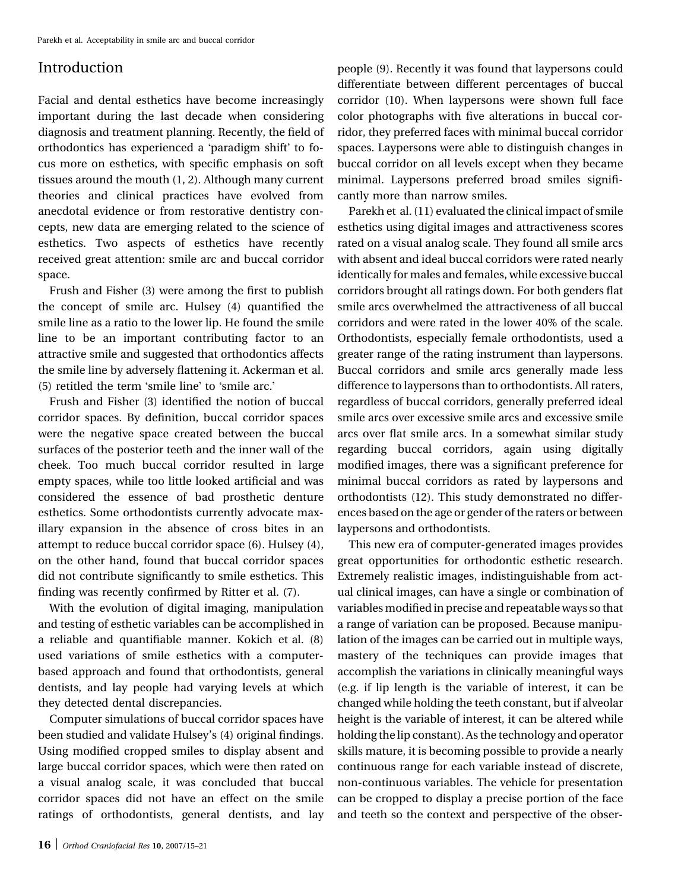# Introduction

Facial and dental esthetics have become increasingly important during the last decade when considering diagnosis and treatment planning. Recently, the field of orthodontics has experienced a 'paradigm shift' to focus more on esthetics, with specific emphasis on soft tissues around the mouth (1, 2). Although many current theories and clinical practices have evolved from anecdotal evidence or from restorative dentistry concepts, new data are emerging related to the science of esthetics. Two aspects of esthetics have recently received great attention: smile arc and buccal corridor space.

Frush and Fisher (3) were among the first to publish the concept of smile arc. Hulsey (4) quantified the smile line as a ratio to the lower lip. He found the smile line to be an important contributing factor to an attractive smile and suggested that orthodontics affects the smile line by adversely flattening it. Ackerman et al. (5) retitled the term 'smile line' to 'smile arc.'

Frush and Fisher (3) identified the notion of buccal corridor spaces. By definition, buccal corridor spaces were the negative space created between the buccal surfaces of the posterior teeth and the inner wall of the cheek. Too much buccal corridor resulted in large empty spaces, while too little looked artificial and was considered the essence of bad prosthetic denture esthetics. Some orthodontists currently advocate maxillary expansion in the absence of cross bites in an attempt to reduce buccal corridor space (6). Hulsey (4), on the other hand, found that buccal corridor spaces did not contribute significantly to smile esthetics. This finding was recently confirmed by Ritter et al. (7).

With the evolution of digital imaging, manipulation and testing of esthetic variables can be accomplished in a reliable and quantifiable manner. Kokich et al. (8) used variations of smile esthetics with a computerbased approach and found that orthodontists, general dentists, and lay people had varying levels at which they detected dental discrepancies.

Computer simulations of buccal corridor spaces have been studied and validate Hulsey's (4) original findings. Using modified cropped smiles to display absent and large buccal corridor spaces, which were then rated on a visual analog scale, it was concluded that buccal corridor spaces did not have an effect on the smile ratings of orthodontists, general dentists, and lay people (9). Recently it was found that laypersons could differentiate between different percentages of buccal corridor (10). When laypersons were shown full face color photographs with five alterations in buccal corridor, they preferred faces with minimal buccal corridor spaces. Laypersons were able to distinguish changes in buccal corridor on all levels except when they became minimal. Laypersons preferred broad smiles significantly more than narrow smiles.

Parekh et al. (11) evaluated the clinical impact of smile esthetics using digital images and attractiveness scores rated on a visual analog scale. They found all smile arcs with absent and ideal buccal corridors were rated nearly identically for males and females, while excessive buccal corridors brought all ratings down. For both genders flat smile arcs overwhelmed the attractiveness of all buccal corridors and were rated in the lower 40% of the scale. Orthodontists, especially female orthodontists, used a greater range of the rating instrument than laypersons. Buccal corridors and smile arcs generally made less difference to laypersons than to orthodontists. All raters, regardless of buccal corridors, generally preferred ideal smile arcs over excessive smile arcs and excessive smile arcs over flat smile arcs. In a somewhat similar study regarding buccal corridors, again using digitally modified images, there was a significant preference for minimal buccal corridors as rated by laypersons and orthodontists (12). This study demonstrated no differences based on the age or gender of the raters or between laypersons and orthodontists.

This new era of computer-generated images provides great opportunities for orthodontic esthetic research. Extremely realistic images, indistinguishable from actual clinical images, can have a single or combination of variables modified in precise and repeatable ways so that a range of variation can be proposed. Because manipulation of the images can be carried out in multiple ways, mastery of the techniques can provide images that accomplish the variations in clinically meaningful ways (e.g. if lip length is the variable of interest, it can be changed while holding the teeth constant, but if alveolar height is the variable of interest, it can be altered while holding the lip constant). As the technology and operator skills mature, it is becoming possible to provide a nearly continuous range for each variable instead of discrete, non-continuous variables. The vehicle for presentation can be cropped to display a precise portion of the face and teeth so the context and perspective of the obser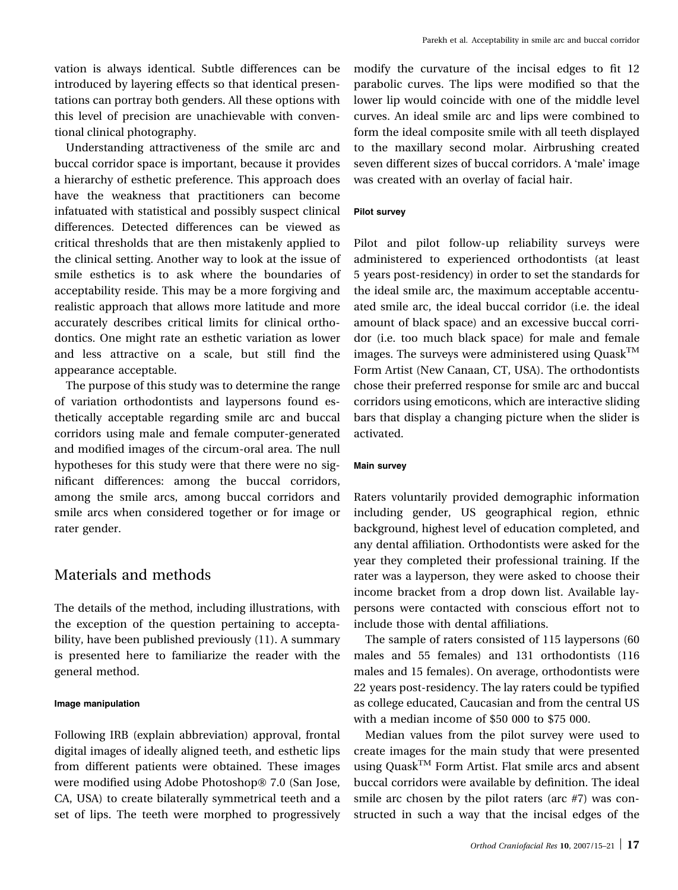vation is always identical. Subtle differences can be introduced by layering effects so that identical presentations can portray both genders. All these options with this level of precision are unachievable with conventional clinical photography.

Understanding attractiveness of the smile arc and buccal corridor space is important, because it provides a hierarchy of esthetic preference. This approach does have the weakness that practitioners can become infatuated with statistical and possibly suspect clinical differences. Detected differences can be viewed as critical thresholds that are then mistakenly applied to the clinical setting. Another way to look at the issue of smile esthetics is to ask where the boundaries of acceptability reside. This may be a more forgiving and realistic approach that allows more latitude and more accurately describes critical limits for clinical orthodontics. One might rate an esthetic variation as lower and less attractive on a scale, but still find the appearance acceptable.

The purpose of this study was to determine the range of variation orthodontists and laypersons found esthetically acceptable regarding smile arc and buccal corridors using male and female computer-generated and modified images of the circum-oral area. The null hypotheses for this study were that there were no significant differences: among the buccal corridors, among the smile arcs, among buccal corridors and smile arcs when considered together or for image or rater gender.

# Materials and methods

The details of the method, including illustrations, with the exception of the question pertaining to acceptability, have been published previously (11). A summary is presented here to familiarize the reader with the general method.

#### Image manipulation

Following IRB (explain abbreviation) approval, frontal digital images of ideally aligned teeth, and esthetic lips from different patients were obtained. These images were modified using Adobe Photoshop<sup>®</sup> 7.0 (San Jose, CA, USA) to create bilaterally symmetrical teeth and a set of lips. The teeth were morphed to progressively modify the curvature of the incisal edges to fit 12 parabolic curves. The lips were modified so that the lower lip would coincide with one of the middle level curves. An ideal smile arc and lips were combined to form the ideal composite smile with all teeth displayed to the maxillary second molar. Airbrushing created seven different sizes of buccal corridors. A 'male' image was created with an overlay of facial hair.

#### Pilot survey

Pilot and pilot follow-up reliability surveys were administered to experienced orthodontists (at least 5 years post-residency) in order to set the standards for the ideal smile arc, the maximum acceptable accentuated smile arc, the ideal buccal corridor (i.e. the ideal amount of black space) and an excessive buccal corridor (i.e. too much black space) for male and female images. The surveys were administered using  $Quask<sup>TM</sup>$ Form Artist (New Canaan, CT, USA). The orthodontists chose their preferred response for smile arc and buccal corridors using emoticons, which are interactive sliding bars that display a changing picture when the slider is activated.

#### Main survey

Raters voluntarily provided demographic information including gender, US geographical region, ethnic background, highest level of education completed, and any dental affiliation. Orthodontists were asked for the year they completed their professional training. If the rater was a layperson, they were asked to choose their income bracket from a drop down list. Available laypersons were contacted with conscious effort not to include those with dental affiliations.

The sample of raters consisted of 115 laypersons (60 males and 55 females) and 131 orthodontists (116 males and 15 females). On average, orthodontists were 22 years post-residency. The lay raters could be typified as college educated, Caucasian and from the central US with a median income of \$50 000 to \$75 000.

Median values from the pilot survey were used to create images for the main study that were presented using Quask<sup>TM</sup> Form Artist. Flat smile arcs and absent buccal corridors were available by definition. The ideal smile arc chosen by the pilot raters (arc #7) was constructed in such a way that the incisal edges of the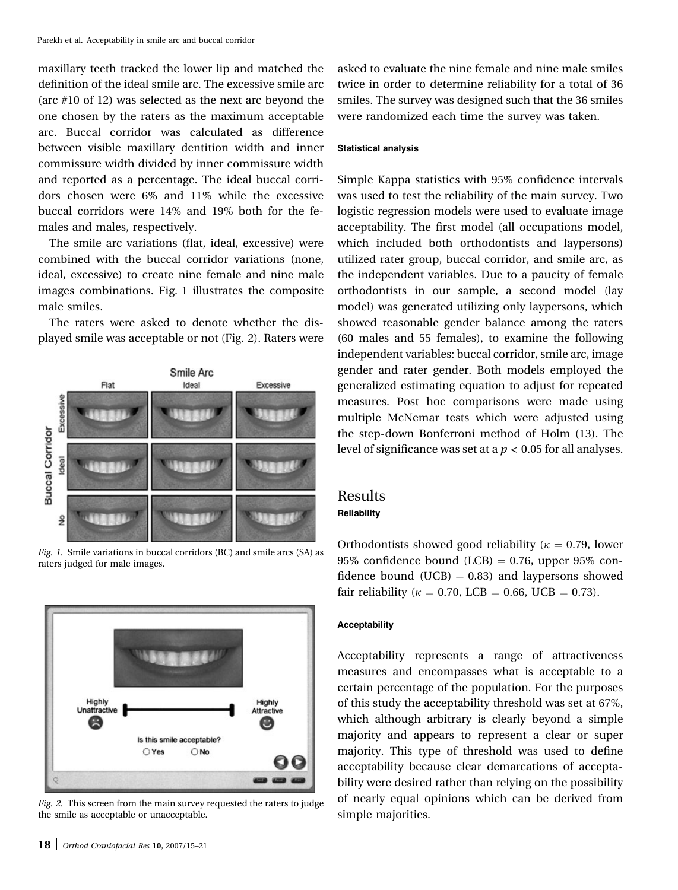maxillary teeth tracked the lower lip and matched the definition of the ideal smile arc. The excessive smile arc (arc #10 of 12) was selected as the next arc beyond the one chosen by the raters as the maximum acceptable arc. Buccal corridor was calculated as difference between visible maxillary dentition width and inner commissure width divided by inner commissure width and reported as a percentage. The ideal buccal corridors chosen were 6% and 11% while the excessive buccal corridors were 14% and 19% both for the females and males, respectively.

The smile arc variations (flat, ideal, excessive) were combined with the buccal corridor variations (none, ideal, excessive) to create nine female and nine male images combinations. Fig. 1 illustrates the composite male smiles.

The raters were asked to denote whether the displayed smile was acceptable or not (Fig. 2). Raters were



Fig. 1. Smile variations in buccal corridors (BC) and smile arcs (SA) as raters judged for male images.



Fig. 2. This screen from the main survey requested the raters to judge the smile as acceptable or unacceptable.

asked to evaluate the nine female and nine male smiles twice in order to determine reliability for a total of 36 smiles. The survey was designed such that the 36 smiles were randomized each time the survey was taken.

#### Statistical analysis

Simple Kappa statistics with 95% confidence intervals was used to test the reliability of the main survey. Two logistic regression models were used to evaluate image acceptability. The first model (all occupations model, which included both orthodontists and laypersons) utilized rater group, buccal corridor, and smile arc, as the independent variables. Due to a paucity of female orthodontists in our sample, a second model (lay model) was generated utilizing only laypersons, which showed reasonable gender balance among the raters (60 males and 55 females), to examine the following independent variables: buccal corridor, smile arc, image gender and rater gender. Both models employed the generalized estimating equation to adjust for repeated measures. Post hoc comparisons were made using multiple McNemar tests which were adjusted using the step-down Bonferroni method of Holm (13). The level of significance was set at a  $p < 0.05$  for all analyses.

# Results

## Reliability

Orthodontists showed good reliability ( $\kappa = 0.79$ , lower 95% confidence bound (LCB)  $= 0.76$ , upper 95% confidence bound (UCB)  $= 0.83$ ) and laypersons showed fair reliability ( $\kappa = 0.70$ , LCB = 0.66, UCB = 0.73).

#### Acceptability

Acceptability represents a range of attractiveness measures and encompasses what is acceptable to a certain percentage of the population. For the purposes of this study the acceptability threshold was set at 67%, which although arbitrary is clearly beyond a simple majority and appears to represent a clear or super majority. This type of threshold was used to define acceptability because clear demarcations of acceptability were desired rather than relying on the possibility of nearly equal opinions which can be derived from simple majorities.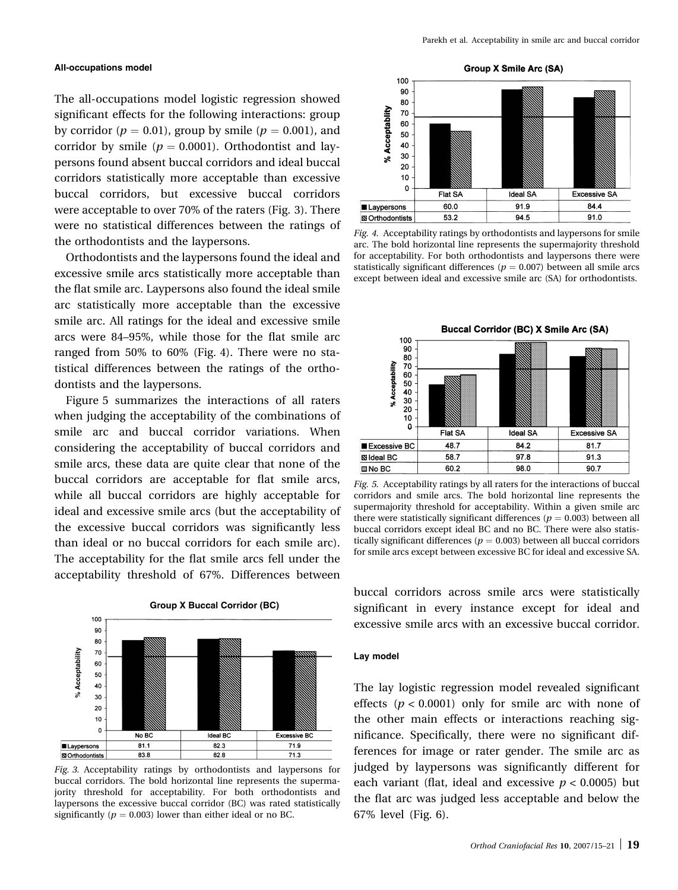#### All-occupations model

The all-occupations model logistic regression showed significant effects for the following interactions: group by corridor ( $p = 0.01$ ), group by smile ( $p = 0.001$ ), and corridor by smile ( $p = 0.0001$ ). Orthodontist and laypersons found absent buccal corridors and ideal buccal corridors statistically more acceptable than excessive buccal corridors, but excessive buccal corridors were acceptable to over 70% of the raters (Fig. 3). There were no statistical differences between the ratings of the orthodontists and the laypersons.

Orthodontists and the laypersons found the ideal and excessive smile arcs statistically more acceptable than the flat smile arc. Laypersons also found the ideal smile arc statistically more acceptable than the excessive smile arc. All ratings for the ideal and excessive smile arcs were 84–95%, while those for the flat smile arc ranged from 50% to 60% (Fig. 4). There were no statistical differences between the ratings of the orthodontists and the laypersons.

Figure 5 summarizes the interactions of all raters when judging the acceptability of the combinations of smile arc and buccal corridor variations. When considering the acceptability of buccal corridors and smile arcs, these data are quite clear that none of the buccal corridors are acceptable for flat smile arcs, while all buccal corridors are highly acceptable for ideal and excessive smile arcs (but the acceptability of the excessive buccal corridors was significantly less than ideal or no buccal corridors for each smile arc). The acceptability for the flat smile arcs fell under the acceptability threshold of 67%. Differences between



Fig. 3. Acceptability ratings by orthodontists and laypersons for buccal corridors. The bold horizontal line represents the supermajority threshold for acceptability. For both orthodontists and laypersons the excessive buccal corridor (BC) was rated statistically significantly ( $p = 0.003$ ) lower than either ideal or no BC.



Fig. 4. Acceptability ratings by orthodontists and laypersons for smile arc. The bold horizontal line represents the supermajority threshold for acceptability. For both orthodontists and laypersons there were statistically significant differences ( $p = 0.007$ ) between all smile arcs except between ideal and excessive smile arc (SA) for orthodontists.



Fig. 5. Acceptability ratings by all raters for the interactions of buccal corridors and smile arcs. The bold horizontal line represents the supermajority threshold for acceptability. Within a given smile arc there were statistically significant differences ( $p = 0.003$ ) between all buccal corridors except ideal BC and no BC. There were also statistically significant differences ( $p = 0.003$ ) between all buccal corridors for smile arcs except between excessive BC for ideal and excessive SA.

buccal corridors across smile arcs were statistically significant in every instance except for ideal and excessive smile arcs with an excessive buccal corridor.

#### Lay model

The lay logistic regression model revealed significant effects ( $p < 0.0001$ ) only for smile arc with none of the other main effects or interactions reaching significance. Specifically, there were no significant differences for image or rater gender. The smile arc as judged by laypersons was significantly different for each variant (flat, ideal and excessive  $p < 0.0005$ ) but the flat arc was judged less acceptable and below the 67% level (Fig. 6).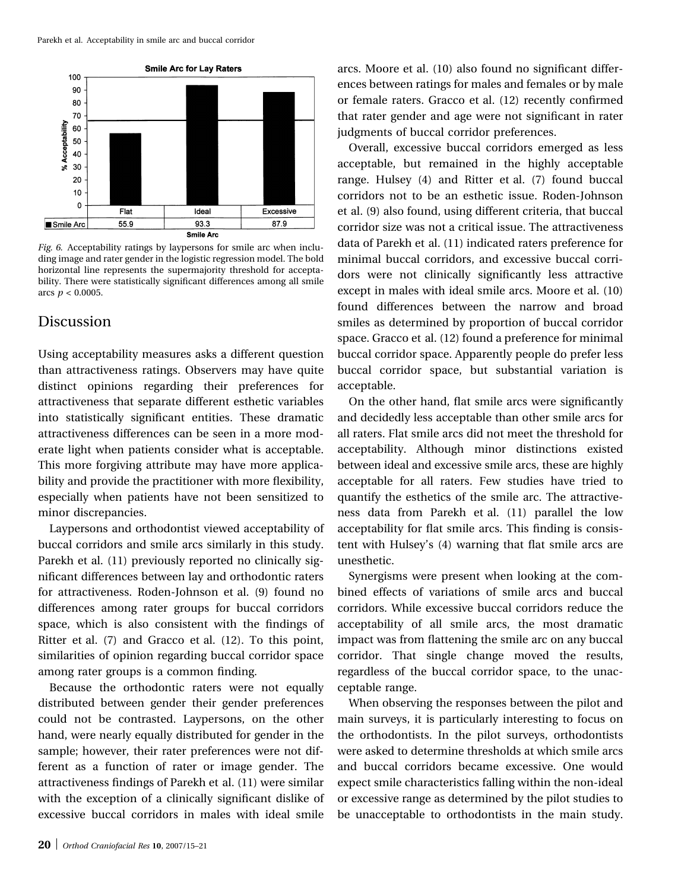

Fig. 6. Acceptability ratings by laypersons for smile arc when including image and rater gender in the logistic regression model. The bold horizontal line represents the supermajority threshold for acceptability. There were statistically significant differences among all smile arcs  $p < 0.0005$ .

## Discussion

Using acceptability measures asks a different question than attractiveness ratings. Observers may have quite distinct opinions regarding their preferences for attractiveness that separate different esthetic variables into statistically significant entities. These dramatic attractiveness differences can be seen in a more moderate light when patients consider what is acceptable. This more forgiving attribute may have more applicability and provide the practitioner with more flexibility, especially when patients have not been sensitized to minor discrepancies.

Laypersons and orthodontist viewed acceptability of buccal corridors and smile arcs similarly in this study. Parekh et al. (11) previously reported no clinically significant differences between lay and orthodontic raters for attractiveness. Roden-Johnson et al. (9) found no differences among rater groups for buccal corridors space, which is also consistent with the findings of Ritter et al. (7) and Gracco et al. (12). To this point, similarities of opinion regarding buccal corridor space among rater groups is a common finding.

Because the orthodontic raters were not equally distributed between gender their gender preferences could not be contrasted. Laypersons, on the other hand, were nearly equally distributed for gender in the sample; however, their rater preferences were not different as a function of rater or image gender. The attractiveness findings of Parekh et al. (11) were similar with the exception of a clinically significant dislike of excessive buccal corridors in males with ideal smile arcs. Moore et al. (10) also found no significant differences between ratings for males and females or by male or female raters. Gracco et al. (12) recently confirmed that rater gender and age were not significant in rater judgments of buccal corridor preferences.

Overall, excessive buccal corridors emerged as less acceptable, but remained in the highly acceptable range. Hulsey (4) and Ritter et al. (7) found buccal corridors not to be an esthetic issue. Roden-Johnson et al. (9) also found, using different criteria, that buccal corridor size was not a critical issue. The attractiveness data of Parekh et al. (11) indicated raters preference for minimal buccal corridors, and excessive buccal corridors were not clinically significantly less attractive except in males with ideal smile arcs. Moore et al. (10) found differences between the narrow and broad smiles as determined by proportion of buccal corridor space. Gracco et al. (12) found a preference for minimal buccal corridor space. Apparently people do prefer less buccal corridor space, but substantial variation is acceptable.

On the other hand, flat smile arcs were significantly and decidedly less acceptable than other smile arcs for all raters. Flat smile arcs did not meet the threshold for acceptability. Although minor distinctions existed between ideal and excessive smile arcs, these are highly acceptable for all raters. Few studies have tried to quantify the esthetics of the smile arc. The attractiveness data from Parekh et al. (11) parallel the low acceptability for flat smile arcs. This finding is consistent with Hulsey's (4) warning that flat smile arcs are unesthetic.

Synergisms were present when looking at the combined effects of variations of smile arcs and buccal corridors. While excessive buccal corridors reduce the acceptability of all smile arcs, the most dramatic impact was from flattening the smile arc on any buccal corridor. That single change moved the results, regardless of the buccal corridor space, to the unacceptable range.

When observing the responses between the pilot and main surveys, it is particularly interesting to focus on the orthodontists. In the pilot surveys, orthodontists were asked to determine thresholds at which smile arcs and buccal corridors became excessive. One would expect smile characteristics falling within the non-ideal or excessive range as determined by the pilot studies to be unacceptable to orthodontists in the main study.